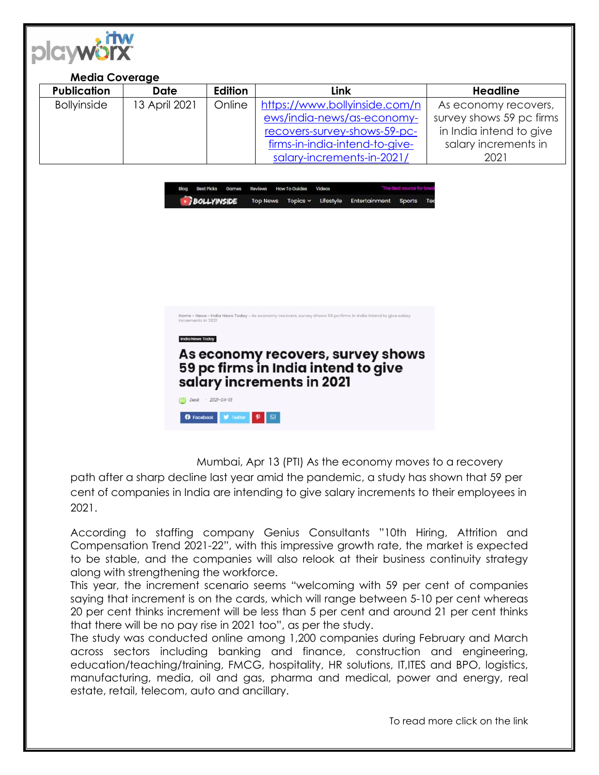

| <b>Media Coverage</b> |               |         |                                |                          |
|-----------------------|---------------|---------|--------------------------------|--------------------------|
| <b>Publication</b>    | Date          | Edition | Link                           | <b>Headline</b>          |
| <b>Bollyinside</b>    | 13 April 2021 | Online  | https://www.bollyinside.com/n  | As economy recovers,     |
|                       |               |         | ews/india-news/as-economy-     | survey shows 59 pc firms |
|                       |               |         | recovers-survey-shows-59-pc-   | in India intend to give  |
|                       |               |         | firms-in-india-intend-to-give- | salary increments in     |
|                       |               |         | salary-increments-in-2021/     | 2021                     |





Mumbai, Apr 13 (PTI) As the economy moves to a recovery

path after a sharp decline last year amid the pandemic, a study has shown that 59 per cent of companies in India are intending to give salary increments to their employees in 2021.

According to staffing company Genius Consultants "10th Hiring, Attrition and Compensation Trend 2021-22", with this impressive growth rate, the market is expected to be stable, and the companies will also relook at their business continuity strategy along with strengthening the workforce.

This year, the increment scenario seems "welcoming with 59 per cent of companies saying that increment is on the cards, which will range between 5-10 per cent whereas 20 per cent thinks increment will be less than 5 per cent and around 21 per cent thinks that there will be no pay rise in 2021 too", as per the study.

The study was conducted online among 1,200 companies during February and March across sectors including banking and finance, construction and engineering, education/teaching/training, FMCG, hospitality, HR solutions, IT,ITES and BPO, logistics, manufacturing, media, oil and gas, pharma and medical, power and energy, real estate, retail, telecom, auto and ancillary.

To read more click on the link